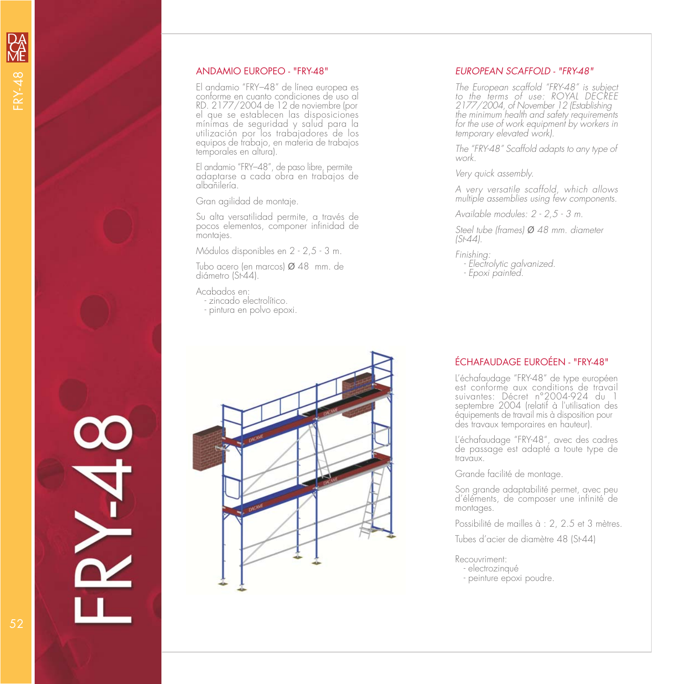#### ANDAMIO EUROPEO - "FRY-48"

El andamio "FRY–48" de línea europea es conforme en cuanto condiciones de uso al<br>RD. 2177/2004 de 12 de noviembre (por el que se establecen las disposiciones mínimas de seguridad y salud para la utilización por los trabajadores de los equipos de trabajo, en materia de trabajos temporales en altura).

El andamio "FRY–48", de paso libre, permite adaptarse a cada obra en trabajos de albañilería.

Gran agilidad de montaje.

Su alta versatilidad permite, a través de pocos elementos, componer infinidad de montajes.

Módulos disponibles en 2 - 2,5 - 3 m.

Tubo acero (en marcos) Ø 48 mm. de diámetro (St-44).

Acabados en:

- zincado electrolítico.
- pintura en polvo epoxi.



#### EUROPEAN SCAFFOLD - "FRY-48"

The European scaffold "FRY-48" is subject to the terms of use: ROYAL DECREE 2177/2004, of November 12 (Establishing the minimum health and safety requirements for the use of work equipment by workers in temporary elevated work).

The "FRY-48" Scaffold adapts to any type of work.

Very quick assembly.

A very versatile scaffold, which allows multiple assemblies using few components.

Available modules: 2 - 2,5 - 3 m.

Steel tube (frames) *Ø* 48 mm. diameter (St-44).

Finishing:

- Electrolytic galvanized.
- Epoxi painted.

### ÉCHAFAUDAGE EUROÉEN - "FRY-48"

L'échafaudage "FRY-48" de type européen est conforme aux conditions de travail suivantes: Décret n°2004-924 du 1 septembre 2004 (relatif à l'utilisation des équipements de travail mis à disposition pour des travaux temporaires en hauteur).

L'échafaudage "FRY-48", avec des cadres de passage est adapté a toute type de travaux.

Grande facilité de montage.

Son grande adaptabilité permet, avec peu d'éléments, de composer une infinité de montages.

Possibilité de mailles à : 2, 2.5 et 3 mètres.

Tubes d'acier de diamètre 48 (St-44)

Recouvriment: - electrozinqué

- peinture epoxi poudre.

E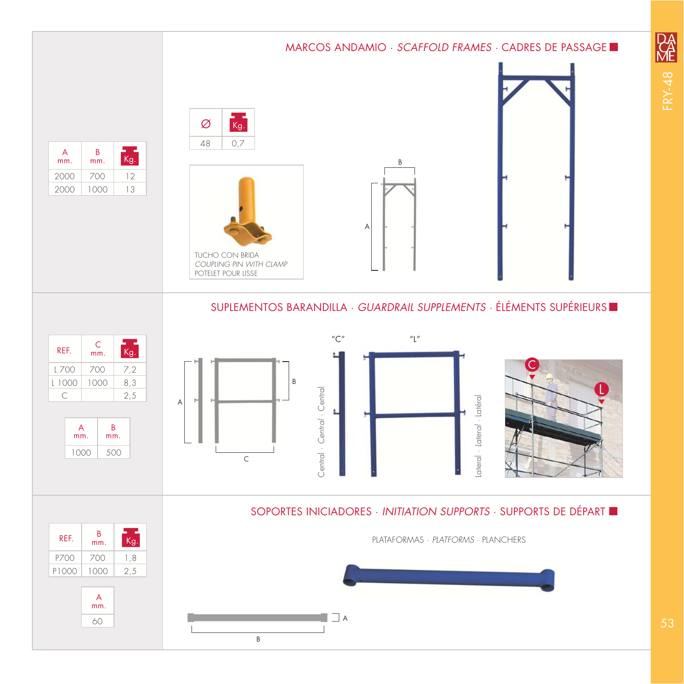# MARCOS ANDAMIO · SCAFFOLD FRAMES · CADRES DE PASSAGE  $k$ g. Ø 48 0,7  $k$ g.  $B$ <sub>mm</sub>. A mm. B 2000 700 12 2000 1000 13 A TUCHO CON BRIDA COUPLING PIN WITH CLAMP POTELET POUR LISSE SUPLEMENTOS BARANDILLA · GUARDRAIL SUPPLEMENTS · ÉLÉMENTS SUPÉRIEURS  $C''$  "L"  $\frac{m}{kg}$ . REF.  $\begin{array}{c} C \\ \text{mm.} \end{array}$  $L 700$  700 7,2 B  $|L|1000|1000|8,3$ Central · Central · Central Central · Central · Central C 2,5 ateral · Lateral · Latéral Lateral · Lateral · Latéral A L A B mm. mm. 1000 500 C SOPORTES INICIADORES · INITIATION SUPPORTS · SUPPORTS DE DÉPART

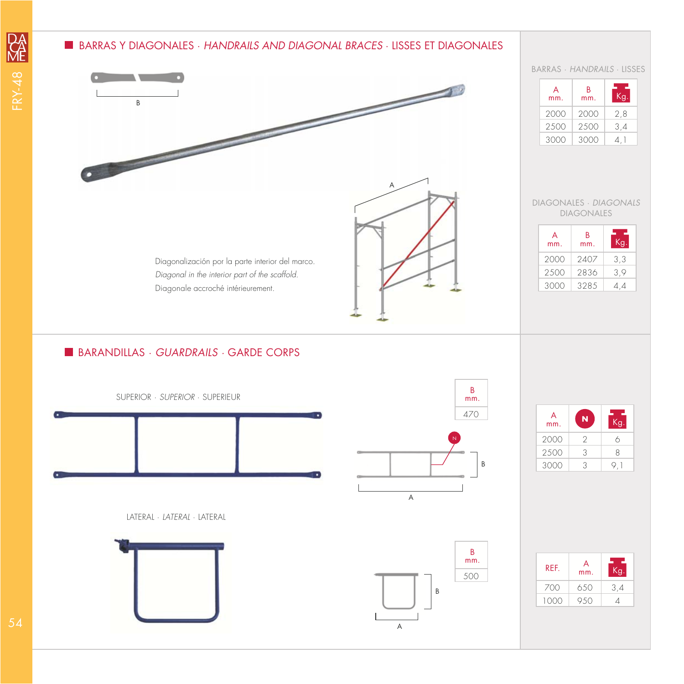## BARRAS Y DIAGONALES · HANDRAILS AND DIAGONAL BRACES · LISSES ET DIAGONALES



## **BARANDILLAS · GUARDRAILS · GARDE CORPS**



LATERAL · LATERAL · LATERAL





A

B mm. 470

B

N

| A<br>mm. | N | <b>To A</b> |
|----------|---|-------------|
| 2000     | 2 | 6           |
| 2500     | 3 | 8           |
| 3000     | R |             |

| REF. | $\mathsf{A}$<br>mm. |     |
|------|---------------------|-----|
| 700  | 650                 | 3.4 |
| 1000 | 950                 |     |